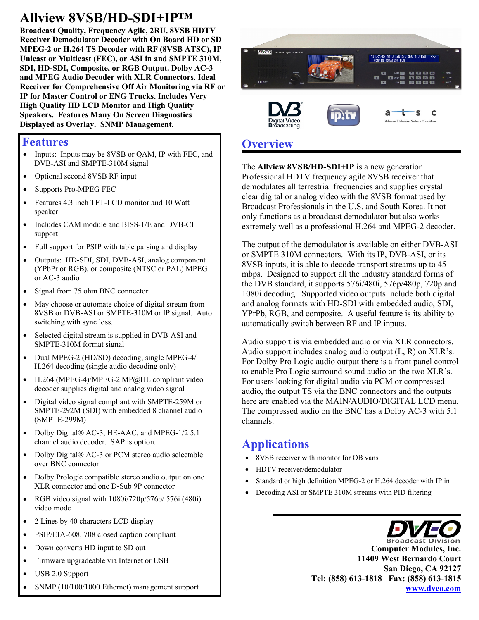# **Allview 8VSB/HD-SDI+IP™**

**Broadcast Quality, Frequency Agile, 2RU, 8VSB HDTV Receiver Demodulator Decoder with On Board HD or SD MPEG-2 or H.264 TS Decoder with RF (8VSB ATSC), IP Unicast or Multicast (FEC), or ASI in and SMPTE 310M, SDI, HD-SDI, Composite, or RGB Output. Dolby AC-3 and MPEG Audio Decoder with XLR Connectors. Ideal Receiver for Comprehensive Off Air Monitoring via RF or IP for Master Control or ENG Trucks. Includes Very High Quality HD LCD Monitor and High Quality Speakers. Features Many On Screen Diagnostics Displayed as Overlay. SNMP Management.**

#### **Features**

- Inputs: Inputs may be 8VSB or QAM, IP with FEC, and DVB-ASI and SMPTE-310M signal
- Optional second 8VSB RF input
- Supports Pro-MPEG FEC
- Features 4.3 inch TFT-LCD monitor and 10 Watt speaker
- Includes CAM module and BISS-1/E and DVB-CI support
- Full support for PSIP with table parsing and display
- Outputs: HD-SDI, SDI, DVB-ASI, analog component (YPbPr or RGB), or composite (NTSC or PAL) MPEG or AC-3 audio
- Signal from 75 ohm BNC connector
- May choose or automate choice of digital stream from 8VSB or DVB-ASI or SMPTE-310M or IP signal. Auto switching with sync loss.
- Selected digital stream is supplied in DVB-ASI and SMPTE-310M format signal
- Dual MPEG-2 (HD/SD) decoding, single MPEG-4/ H.264 decoding (single audio decoding only)
- H.264 (MPEG-4)/MPEG-2 MP@HL compliant video decoder supplies digital and analog video signal
- Digital video signal compliant with SMPTE-259M or SMPTE-292M (SDI) with embedded 8 channel audio (SMPTE-299M)
- Dolby Digital® AC-3, HE-AAC, and MPEG-1/2 5.1 channel audio decoder. SAP is option.
- Dolby Digital® AC-3 or PCM stereo audio selectable over BNC connector
- Dolby Prologic compatible stereo audio output on one XLR connector and one D-Sub 9P connector
- RGB video signal with  $1080i/720p/576p/576i$  (480i) video mode
- 2 Lines by 40 characters LCD display
- PSIP/EIA-608, 708 closed caption compliant
- Down converts HD input to SD out
- Firmware upgradeable via Internet or USB
- USB 2.0 Support



iaital **V**ideo

Professional HDTV frequency agile 8VSB receiver that demodulates all terrestrial frequencies and supplies crystal clear digital or analog video with the 8VSB format used by Broadcast Professionals in the U.S. and South Korea. It not only functions as a broadcast demodulator but also works extremely well as a professional H.264 and MPEG-2 decoder.

R1:L(P/S) R2:U 1:U 2:U 3:U 4:U 5:U ()v

 $\mathbf C$ ς

The output of the demodulator is available on either DVB-ASI or SMPTE 310M connectors. With its IP, DVB-ASI, or its 8VSB inputs, it is able to decode transport streams up to 45 mbps. Designed to support all the industry standard forms of the DVB standard, it supports 576i/480i, 576p/480p, 720p and 1080i decoding. Supported video outputs include both digital and analog formats with HD-SDI with embedded audio, SDI, YPrPb, RGB, and composite. A useful feature is its ability to automatically switch between RF and IP inputs.

Audio support is via embedded audio or via XLR connectors. Audio support includes analog audio output (L, R) on XLR's. For Dolby Pro Logic audio output there is a front panel control to enable Pro Logic surround sound audio on the two XLR's. For users looking for digital audio via PCM or compressed audio, the output TS via the BNC connectors and the outputs here are enabled via the MAIN/AUDIO/DIGITAL LCD menu. The compressed audio on the BNC has a Dolby AC-3 with 5.1 channels.

### **Applications**

- 8VSB receiver with monitor for OB vans
- HDTV receiver/demodulator
- Standard or high definition MPEG-2 or H.264 decoder with IP in
- Decoding ASI or SMPTE 310M streams with PID filtering



**Computer Modules, Inc. 11409 West Bernardo Court San Diego, CA 92127 Tel: (858) 613-1818 Fax: (858) 613-1815 www.dveo.com**

SNMP (10/100/1000 Ethernet) management support